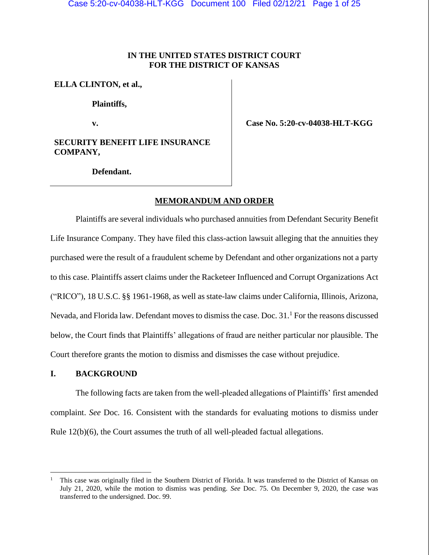# **IN THE UNITED STATES DISTRICT COURT FOR THE DISTRICT OF KANSAS**

# **ELLA CLINTON, et al.,**

**Plaintiffs,**

**v.**

**SECURITY BENEFIT LIFE INSURANCE COMPANY,** 

 **Case No. 5:20-cv-04038-HLT-KGG**

**Defendant.**

# **MEMORANDUM AND ORDER**

Plaintiffs are several individuals who purchased annuities from Defendant Security Benefit Life Insurance Company. They have filed this class-action lawsuit alleging that the annuities they purchased were the result of a fraudulent scheme by Defendant and other organizations not a party to this case. Plaintiffs assert claims under the Racketeer Influenced and Corrupt Organizations Act ("RICO"), 18 U.S.C. §§ 1961-1968, as well as state-law claims under California, Illinois, Arizona, Nevada, and Florida law. Defendant moves to dismiss the case. Doc. 31.<sup>1</sup> For the reasons discussed below, the Court finds that Plaintiffs' allegations of fraud are neither particular nor plausible. The Court therefore grants the motion to dismiss and dismisses the case without prejudice.

## **I. BACKGROUND**

The following facts are taken from the well-pleaded allegations of Plaintiffs' first amended complaint. *See* Doc. 16. Consistent with the standards for evaluating motions to dismiss under Rule 12(b)(6), the Court assumes the truth of all well-pleaded factual allegations.

<sup>1</sup> This case was originally filed in the Southern District of Florida. It was transferred to the District of Kansas on July 21, 2020, while the motion to dismiss was pending. *See* Doc. 75. On December 9, 2020, the case was transferred to the undersigned. Doc. 99.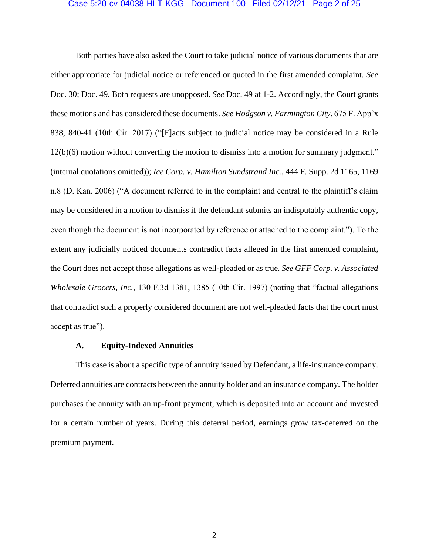### Case 5:20-cv-04038-HLT-KGG Document 100 Filed 02/12/21 Page 2 of 25

Both parties have also asked the Court to take judicial notice of various documents that are either appropriate for judicial notice or referenced or quoted in the first amended complaint. *See* Doc. 30; Doc. 49. Both requests are unopposed. *See* Doc. 49 at 1-2. Accordingly, the Court grants these motions and has considered these documents. *See Hodgson v. Farmington City*, 675 F. App'x 838, 840-41 (10th Cir. 2017) ("[F]acts subject to judicial notice may be considered in a Rule 12(b)(6) motion without converting the motion to dismiss into a motion for summary judgment." (internal quotations omitted)); *Ice Corp. v. Hamilton Sundstrand Inc.*, 444 F. Supp. 2d 1165, 1169 n.8 (D. Kan. 2006) ("A document referred to in the complaint and central to the plaintiff's claim may be considered in a motion to dismiss if the defendant submits an indisputably authentic copy, even though the document is not incorporated by reference or attached to the complaint."). To the extent any judicially noticed documents contradict facts alleged in the first amended complaint, the Court does not accept those allegations as well-pleaded or as true. *See GFF Corp. v. Associated Wholesale Grocers, Inc.*, 130 F.3d 1381, 1385 (10th Cir. 1997) (noting that "factual allegations that contradict such a properly considered document are not well-pleaded facts that the court must accept as true").

#### **A. Equity-Indexed Annuities**

This case is about a specific type of annuity issued by Defendant, a life-insurance company. Deferred annuities are contracts between the annuity holder and an insurance company. The holder purchases the annuity with an up-front payment, which is deposited into an account and invested for a certain number of years. During this deferral period, earnings grow tax-deferred on the premium payment.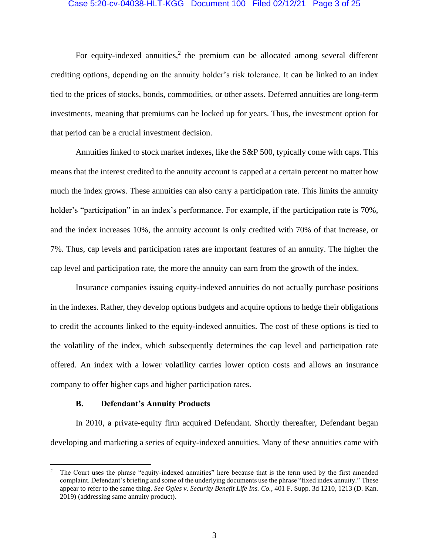### Case 5:20-cv-04038-HLT-KGG Document 100 Filed 02/12/21 Page 3 of 25

For equity-indexed annuities, $2$  the premium can be allocated among several different crediting options, depending on the annuity holder's risk tolerance. It can be linked to an index tied to the prices of stocks, bonds, commodities, or other assets. Deferred annuities are long-term investments, meaning that premiums can be locked up for years. Thus, the investment option for that period can be a crucial investment decision.

Annuities linked to stock market indexes, like the S&P 500, typically come with caps. This means that the interest credited to the annuity account is capped at a certain percent no matter how much the index grows. These annuities can also carry a participation rate. This limits the annuity holder's "participation" in an index's performance. For example, if the participation rate is 70%, and the index increases 10%, the annuity account is only credited with 70% of that increase, or 7%. Thus, cap levels and participation rates are important features of an annuity. The higher the cap level and participation rate, the more the annuity can earn from the growth of the index.

Insurance companies issuing equity-indexed annuities do not actually purchase positions in the indexes. Rather, they develop options budgets and acquire options to hedge their obligations to credit the accounts linked to the equity-indexed annuities. The cost of these options is tied to the volatility of the index, which subsequently determines the cap level and participation rate offered. An index with a lower volatility carries lower option costs and allows an insurance company to offer higher caps and higher participation rates.

### **B. Defendant's Annuity Products**

In 2010, a private-equity firm acquired Defendant. Shortly thereafter, Defendant began developing and marketing a series of equity-indexed annuities. Many of these annuities came with

<sup>2</sup> The Court uses the phrase "equity-indexed annuities" here because that is the term used by the first amended complaint. Defendant's briefing and some of the underlying documents use the phrase "fixed index annuity." These appear to refer to the same thing. *See Ogles v. Security Benefit Life Ins. Co.*, 401 F. Supp. 3d 1210, 1213 (D. Kan. 2019) (addressing same annuity product).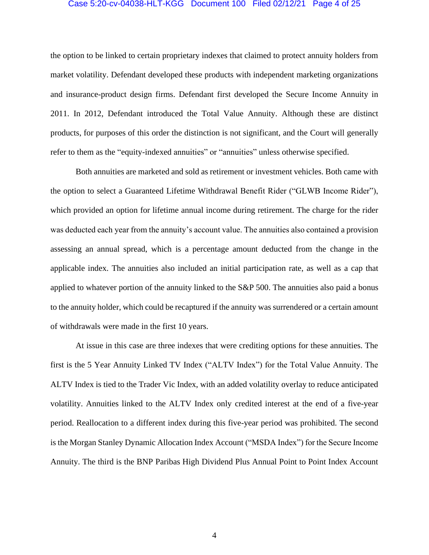## Case 5:20-cv-04038-HLT-KGG Document 100 Filed 02/12/21 Page 4 of 25

the option to be linked to certain proprietary indexes that claimed to protect annuity holders from market volatility. Defendant developed these products with independent marketing organizations and insurance-product design firms. Defendant first developed the Secure Income Annuity in 2011. In 2012, Defendant introduced the Total Value Annuity. Although these are distinct products, for purposes of this order the distinction is not significant, and the Court will generally refer to them as the "equity-indexed annuities" or "annuities" unless otherwise specified.

Both annuities are marketed and sold as retirement or investment vehicles. Both came with the option to select a Guaranteed Lifetime Withdrawal Benefit Rider ("GLWB Income Rider"), which provided an option for lifetime annual income during retirement. The charge for the rider was deducted each year from the annuity's account value. The annuities also contained a provision assessing an annual spread, which is a percentage amount deducted from the change in the applicable index. The annuities also included an initial participation rate, as well as a cap that applied to whatever portion of the annuity linked to the S&P 500. The annuities also paid a bonus to the annuity holder, which could be recaptured if the annuity was surrendered or a certain amount of withdrawals were made in the first 10 years.

At issue in this case are three indexes that were crediting options for these annuities. The first is the 5 Year Annuity Linked TV Index ("ALTV Index") for the Total Value Annuity. The ALTV Index is tied to the Trader Vic Index, with an added volatility overlay to reduce anticipated volatility. Annuities linked to the ALTV Index only credited interest at the end of a five-year period. Reallocation to a different index during this five-year period was prohibited. The second is the Morgan Stanley Dynamic Allocation Index Account ("MSDA Index") for the Secure Income Annuity. The third is the BNP Paribas High Dividend Plus Annual Point to Point Index Account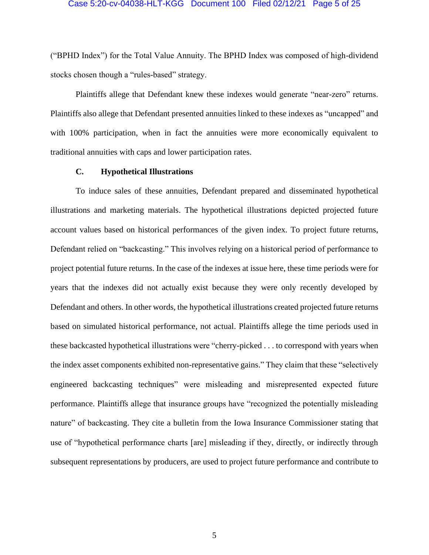## Case 5:20-cv-04038-HLT-KGG Document 100 Filed 02/12/21 Page 5 of 25

("BPHD Index") for the Total Value Annuity. The BPHD Index was composed of high-dividend stocks chosen though a "rules-based" strategy.

Plaintiffs allege that Defendant knew these indexes would generate "near-zero" returns. Plaintiffs also allege that Defendant presented annuities linked to these indexes as "uncapped" and with 100% participation, when in fact the annuities were more economically equivalent to traditional annuities with caps and lower participation rates.

## **C. Hypothetical Illustrations**

To induce sales of these annuities, Defendant prepared and disseminated hypothetical illustrations and marketing materials. The hypothetical illustrations depicted projected future account values based on historical performances of the given index. To project future returns, Defendant relied on "backcasting." This involves relying on a historical period of performance to project potential future returns. In the case of the indexes at issue here, these time periods were for years that the indexes did not actually exist because they were only recently developed by Defendant and others. In other words, the hypothetical illustrations created projected future returns based on simulated historical performance, not actual. Plaintiffs allege the time periods used in these backcasted hypothetical illustrations were "cherry-picked . . . to correspond with years when the index asset components exhibited non-representative gains." They claim that these "selectively engineered backcasting techniques" were misleading and misrepresented expected future performance. Plaintiffs allege that insurance groups have "recognized the potentially misleading nature" of backcasting. They cite a bulletin from the Iowa Insurance Commissioner stating that use of "hypothetical performance charts [are] misleading if they, directly, or indirectly through subsequent representations by producers, are used to project future performance and contribute to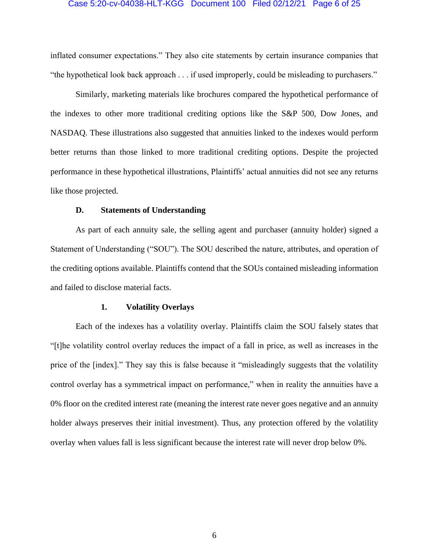#### Case 5:20-cv-04038-HLT-KGG Document 100 Filed 02/12/21 Page 6 of 25

inflated consumer expectations." They also cite statements by certain insurance companies that "the hypothetical look back approach . . . if used improperly, could be misleading to purchasers."

Similarly, marketing materials like brochures compared the hypothetical performance of the indexes to other more traditional crediting options like the S&P 500, Dow Jones, and NASDAQ. These illustrations also suggested that annuities linked to the indexes would perform better returns than those linked to more traditional crediting options. Despite the projected performance in these hypothetical illustrations, Plaintiffs' actual annuities did not see any returns like those projected.

## **D. Statements of Understanding**

As part of each annuity sale, the selling agent and purchaser (annuity holder) signed a Statement of Understanding ("SOU"). The SOU described the nature, attributes, and operation of the crediting options available. Plaintiffs contend that the SOUs contained misleading information and failed to disclose material facts.

#### **1. Volatility Overlays**

Each of the indexes has a volatility overlay. Plaintiffs claim the SOU falsely states that "[t]he volatility control overlay reduces the impact of a fall in price, as well as increases in the price of the [index]." They say this is false because it "misleadingly suggests that the volatility control overlay has a symmetrical impact on performance," when in reality the annuities have a 0% floor on the credited interest rate (meaning the interest rate never goes negative and an annuity holder always preserves their initial investment). Thus, any protection offered by the volatility overlay when values fall is less significant because the interest rate will never drop below 0%.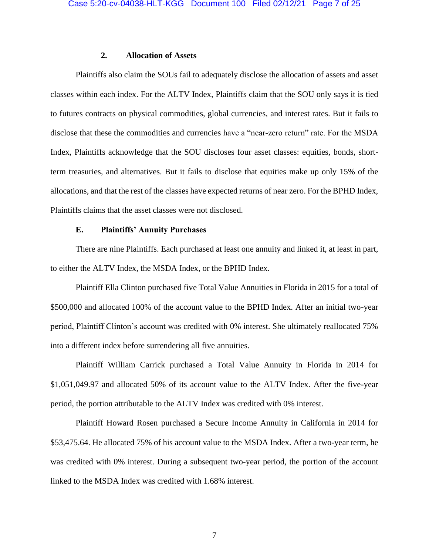## **2. Allocation of Assets**

Plaintiffs also claim the SOUs fail to adequately disclose the allocation of assets and asset classes within each index. For the ALTV Index, Plaintiffs claim that the SOU only says it is tied to futures contracts on physical commodities, global currencies, and interest rates. But it fails to disclose that these the commodities and currencies have a "near-zero return" rate. For the MSDA Index, Plaintiffs acknowledge that the SOU discloses four asset classes: equities, bonds, shortterm treasuries, and alternatives. But it fails to disclose that equities make up only 15% of the allocations, and that the rest of the classes have expected returns of near zero. For the BPHD Index, Plaintiffs claims that the asset classes were not disclosed.

# **E. Plaintiffs' Annuity Purchases**

There are nine Plaintiffs. Each purchased at least one annuity and linked it, at least in part, to either the ALTV Index, the MSDA Index, or the BPHD Index.

Plaintiff Ella Clinton purchased five Total Value Annuities in Florida in 2015 for a total of \$500,000 and allocated 100% of the account value to the BPHD Index. After an initial two-year period, Plaintiff Clinton's account was credited with 0% interest. She ultimately reallocated 75% into a different index before surrendering all five annuities.

Plaintiff William Carrick purchased a Total Value Annuity in Florida in 2014 for \$1,051,049.97 and allocated 50% of its account value to the ALTV Index. After the five-year period, the portion attributable to the ALTV Index was credited with 0% interest.

Plaintiff Howard Rosen purchased a Secure Income Annuity in California in 2014 for \$53,475.64. He allocated 75% of his account value to the MSDA Index. After a two-year term, he was credited with 0% interest. During a subsequent two-year period, the portion of the account linked to the MSDA Index was credited with 1.68% interest.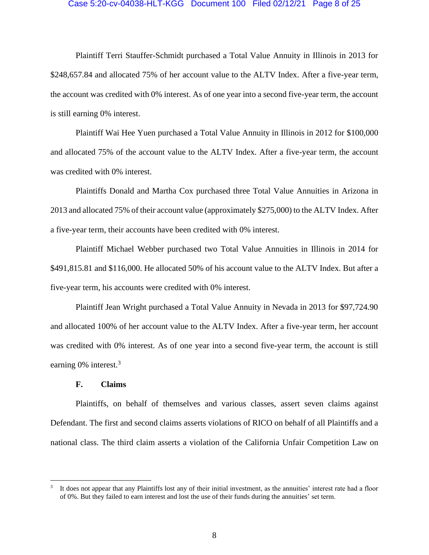#### Case 5:20-cv-04038-HLT-KGG Document 100 Filed 02/12/21 Page 8 of 25

Plaintiff Terri Stauffer-Schmidt purchased a Total Value Annuity in Illinois in 2013 for \$248,657.84 and allocated 75% of her account value to the ALTV Index. After a five-year term, the account was credited with 0% interest. As of one year into a second five-year term, the account is still earning 0% interest.

Plaintiff Wai Hee Yuen purchased a Total Value Annuity in Illinois in 2012 for \$100,000 and allocated 75% of the account value to the ALTV Index. After a five-year term, the account was credited with 0% interest.

Plaintiffs Donald and Martha Cox purchased three Total Value Annuities in Arizona in 2013 and allocated 75% of their account value (approximately \$275,000) to the ALTV Index. After a five-year term, their accounts have been credited with 0% interest.

Plaintiff Michael Webber purchased two Total Value Annuities in Illinois in 2014 for \$491,815.81 and \$116,000. He allocated 50% of his account value to the ALTV Index. But after a five-year term, his accounts were credited with 0% interest.

Plaintiff Jean Wright purchased a Total Value Annuity in Nevada in 2013 for \$97,724.90 and allocated 100% of her account value to the ALTV Index. After a five-year term, her account was credited with 0% interest. As of one year into a second five-year term, the account is still earning  $0\%$  interest.<sup>3</sup>

## **F. Claims**

Plaintiffs, on behalf of themselves and various classes, assert seven claims against Defendant. The first and second claims asserts violations of RICO on behalf of all Plaintiffs and a national class. The third claim asserts a violation of the California Unfair Competition Law on

<sup>3</sup> It does not appear that any Plaintiffs lost any of their initial investment, as the annuities' interest rate had a floor of 0%. But they failed to earn interest and lost the use of their funds during the annuities' set term.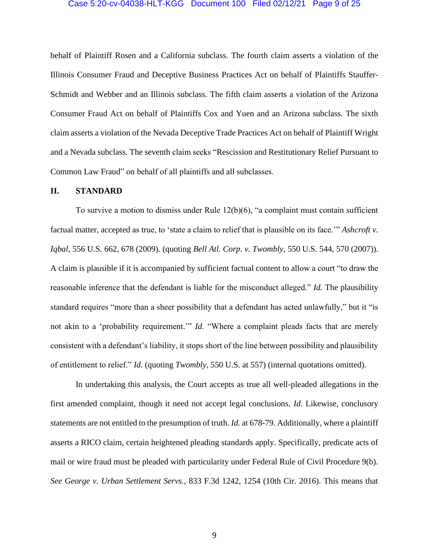## Case 5:20-cv-04038-HLT-KGG Document 100 Filed 02/12/21 Page 9 of 25

behalf of Plaintiff Rosen and a California subclass. The fourth claim asserts a violation of the Illinois Consumer Fraud and Deceptive Business Practices Act on behalf of Plaintiffs Stauffer-Schmidt and Webber and an Illinois subclass. The fifth claim asserts a violation of the Arizona Consumer Fraud Act on behalf of Plaintiffs Cox and Yuen and an Arizona subclass. The sixth claim asserts a violation of the Nevada Deceptive Trade Practices Act on behalf of Plaintiff Wright and a Nevada subclass. The seventh claim seeks "Rescission and Restitutionary Relief Pursuant to Common Law Fraud" on behalf of all plaintiffs and all subclasses.

### **II. STANDARD**

To survive a motion to dismiss under Rule 12(b)(6), "a complaint must contain sufficient factual matter, accepted as true, to 'state a claim to relief that is plausible on its face.'" *Ashcroft v. Iqbal*, 556 U.S. 662, 678 (2009). (quoting *Bell Atl. Corp. v. Twombly*, 550 U.S. 544, 570 (2007)). A claim is plausible if it is accompanied by sufficient factual content to allow a court "to draw the reasonable inference that the defendant is liable for the misconduct alleged." *Id.* The plausibility standard requires "more than a sheer possibility that a defendant has acted unlawfully," but it "is not akin to a 'probability requirement.'" *Id.* "Where a complaint pleads facts that are merely consistent with a defendant's liability, it stops short of the line between possibility and plausibility of entitlement to relief." *Id.* (quoting *Twombly*, 550 U.S. at 557) (internal quotations omitted).

In undertaking this analysis, the Court accepts as true all well-pleaded allegations in the first amended complaint, though it need not accept legal conclusions. *Id.* Likewise, conclusory statements are not entitled to the presumption of truth. *Id.* at 678-79. Additionally, where a plaintiff asserts a RICO claim, certain heightened pleading standards apply. Specifically, predicate acts of mail or wire fraud must be pleaded with particularity under Federal Rule of Civil Procedure 9(b). *See George v. Urban Settlement Servs.*, 833 F.3d 1242, 1254 (10th Cir. 2016). This means that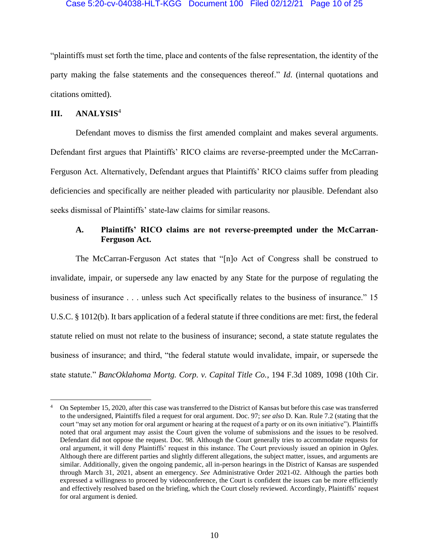### Case 5:20-cv-04038-HLT-KGG Document 100 Filed 02/12/21 Page 10 of 25

"plaintiffs must set forth the time, place and contents of the false representation, the identity of the party making the false statements and the consequences thereof." *Id*. (internal quotations and citations omitted).

## **III. ANALYSIS**<sup>4</sup>

Defendant moves to dismiss the first amended complaint and makes several arguments. Defendant first argues that Plaintiffs' RICO claims are reverse-preempted under the McCarran-Ferguson Act. Alternatively, Defendant argues that Plaintiffs' RICO claims suffer from pleading deficiencies and specifically are neither pleaded with particularity nor plausible. Defendant also seeks dismissal of Plaintiffs' state-law claims for similar reasons.

# **A. Plaintiffs' RICO claims are not reverse-preempted under the McCarran-Ferguson Act.**

The McCarran-Ferguson Act states that "[n]o Act of Congress shall be construed to invalidate, impair, or supersede any law enacted by any State for the purpose of regulating the business of insurance . . . unless such Act specifically relates to the business of insurance." 15 U.S.C. § 1012(b). It bars application of a federal statute if three conditions are met: first, the federal statute relied on must not relate to the business of insurance; second, a state statute regulates the business of insurance; and third, "the federal statute would invalidate, impair, or supersede the state statute." *BancOklahoma Mortg. Corp. v. Capital Title Co.*, 194 F.3d 1089, 1098 (10th Cir.

<sup>4</sup> On September 15, 2020, after this case was transferred to the District of Kansas but before this case was transferred to the undersigned, Plaintiffs filed a request for oral argument. Doc. 97; *see also* D. Kan. Rule 7.2 (stating that the court "may set any motion for oral argument or hearing at the request of a party or on its own initiative"). Plaintiffs noted that oral argument may assist the Court given the volume of submissions and the issues to be resolved. Defendant did not oppose the request. Doc. 98. Although the Court generally tries to accommodate requests for oral argument, it will deny Plaintiffs' request in this instance. The Court previously issued an opinion in *Ogles*. Although there are different parties and slightly different allegations, the subject matter, issues, and arguments are similar. Additionally, given the ongoing pandemic, all in-person hearings in the District of Kansas are suspended through March 31, 2021, absent an emergency. *See* Administrative Order 2021-02. Although the parties both expressed a willingness to proceed by videoconference, the Court is confident the issues can be more efficiently and effectively resolved based on the briefing, which the Court closely reviewed. Accordingly, Plaintiffs' request for oral argument is denied.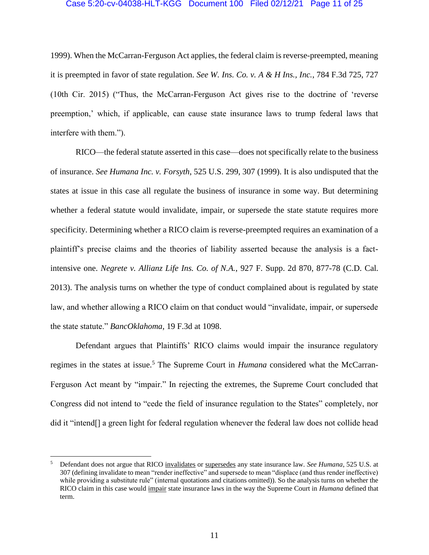### Case 5:20-cv-04038-HLT-KGG Document 100 Filed 02/12/21 Page 11 of 25

1999). When the McCarran-Ferguson Act applies, the federal claim is reverse-preempted, meaning it is preempted in favor of state regulation. *See W. Ins. Co. v. A & H Ins., Inc.*, 784 F.3d 725, 727 (10th Cir. 2015) ("Thus, the McCarran-Ferguson Act gives rise to the doctrine of 'reverse preemption,' which, if applicable, can cause state insurance laws to trump federal laws that interfere with them.").

RICO—the federal statute asserted in this case—does not specifically relate to the business of insurance. *See Humana Inc. v. Forsyth*, 525 U.S. 299, 307 (1999). It is also undisputed that the states at issue in this case all regulate the business of insurance in some way. But determining whether a federal statute would invalidate, impair, or supersede the state statute requires more specificity. Determining whether a RICO claim is reverse-preempted requires an examination of a plaintiff's precise claims and the theories of liability asserted because the analysis is a factintensive one. *Negrete v. Allianz Life Ins. Co. of N.A.*, 927 F. Supp. 2d 870, 877-78 (C.D. Cal. 2013). The analysis turns on whether the type of conduct complained about is regulated by state law, and whether allowing a RICO claim on that conduct would "invalidate, impair, or supersede the state statute." *BancOklahoma*, 19 F.3d at 1098.

Defendant argues that Plaintiffs' RICO claims would impair the insurance regulatory regimes in the states at issue.<sup>5</sup> The Supreme Court in *Humana* considered what the McCarran-Ferguson Act meant by "impair." In rejecting the extremes, the Supreme Court concluded that Congress did not intend to "cede the field of insurance regulation to the States" completely, nor did it "intend[] a green light for federal regulation whenever the federal law does not collide head

<sup>5</sup> Defendant does not argue that RICO invalidates or supersedes any state insurance law. *See Humana*, 525 U.S. at 307 (defining invalidate to mean "render ineffective" and supersede to mean "displace (and thus render ineffective) while providing a substitute rule" (internal quotations and citations omitted)). So the analysis turns on whether the RICO claim in this case would impair state insurance laws in the way the Supreme Court in *Humana* defined that term.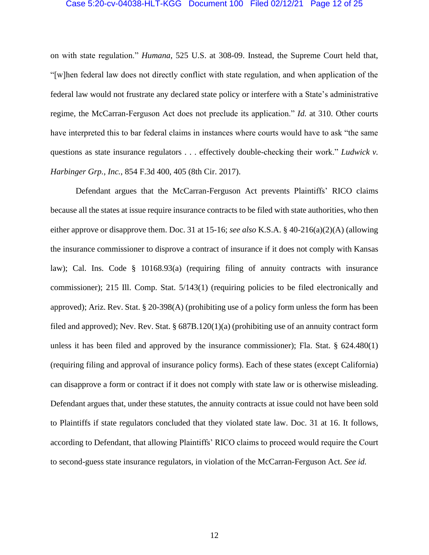#### Case 5:20-cv-04038-HLT-KGG Document 100 Filed 02/12/21 Page 12 of 25

on with state regulation." *Humana*, 525 U.S. at 308-09. Instead, the Supreme Court held that, "[w]hen federal law does not directly conflict with state regulation, and when application of the federal law would not frustrate any declared state policy or interfere with a State's administrative regime, the McCarran-Ferguson Act does not preclude its application." *Id.* at 310. Other courts have interpreted this to bar federal claims in instances where courts would have to ask "the same questions as state insurance regulators . . . effectively double-checking their work." *Ludwick v. Harbinger Grp., Inc.*, 854 F.3d 400, 405 (8th Cir. 2017).

Defendant argues that the McCarran-Ferguson Act prevents Plaintiffs' RICO claims because all the states at issue require insurance contracts to be filed with state authorities, who then either approve or disapprove them. Doc. 31 at 15-16; *see also* K.S.A. § 40-216(a)(2)(A) (allowing the insurance commissioner to disprove a contract of insurance if it does not comply with Kansas law); Cal. Ins. Code § 10168.93(a) (requiring filing of annuity contracts with insurance commissioner); 215 Ill. Comp. Stat. 5/143(1) (requiring policies to be filed electronically and approved); Ariz. Rev. Stat. § 20-398(A) (prohibiting use of a policy form unless the form has been filed and approved); Nev. Rev. Stat. § 687B.120(1)(a) (prohibiting use of an annuity contract form unless it has been filed and approved by the insurance commissioner); Fla. Stat. § 624.480(1) (requiring filing and approval of insurance policy forms). Each of these states (except California) can disapprove a form or contract if it does not comply with state law or is otherwise misleading. Defendant argues that, under these statutes, the annuity contracts at issue could not have been sold to Plaintiffs if state regulators concluded that they violated state law. Doc. 31 at 16. It follows, according to Defendant, that allowing Plaintiffs' RICO claims to proceed would require the Court to second-guess state insurance regulators, in violation of the McCarran-Ferguson Act. *See id.*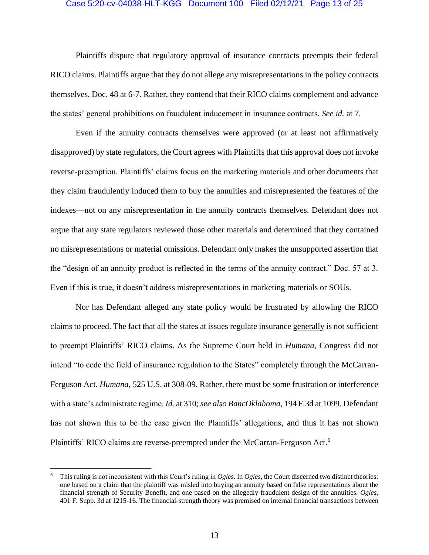#### Case 5:20-cv-04038-HLT-KGG Document 100 Filed 02/12/21 Page 13 of 25

Plaintiffs dispute that regulatory approval of insurance contracts preempts their federal RICO claims. Plaintiffs argue that they do not allege any misrepresentations in the policy contracts themselves. Doc. 48 at 6-7. Rather, they contend that their RICO claims complement and advance the states' general prohibitions on fraudulent inducement in insurance contracts. *See id.* at 7.

Even if the annuity contracts themselves were approved (or at least not affirmatively disapproved) by state regulators, the Court agrees with Plaintiffs that this approval does not invoke reverse-preemption. Plaintiffs' claims focus on the marketing materials and other documents that they claim fraudulently induced them to buy the annuities and misrepresented the features of the indexes—not on any misrepresentation in the annuity contracts themselves. Defendant does not argue that any state regulators reviewed those other materials and determined that they contained no misrepresentations or material omissions. Defendant only makes the unsupported assertion that the "design of an annuity product is reflected in the terms of the annuity contract." Doc. 57 at 3. Even if this is true, it doesn't address misrepresentations in marketing materials or SOUs.

Nor has Defendant alleged any state policy would be frustrated by allowing the RICO claims to proceed. The fact that all the states at issues regulate insurance generally is not sufficient to preempt Plaintiffs' RICO claims. As the Supreme Court held in *Humana*, Congress did not intend "to cede the field of insurance regulation to the States" completely through the McCarran-Ferguson Act. *Humana*, 525 U.S. at 308-09. Rather, there must be some frustration or interference with a state's administrate regime. *Id.* at 310; *see also BancOklahoma*, 194 F.3d at 1099. Defendant has not shown this to be the case given the Plaintiffs' allegations, and thus it has not shown Plaintiffs' RICO claims are reverse-preempted under the McCarran-Ferguson Act.<sup>6</sup>

<sup>6</sup> This ruling is not inconsistent with this Court's ruling in *Ogles*. In *Ogles*, the Court discerned two distinct theories: one based on a claim that the plaintiff was misled into buying an annuity based on false representations about the financial strength of Security Benefit, and one based on the allegedly fraudulent design of the annuities. *Ogles*, 401 F. Supp. 3d at 1215-16. The financial-strength theory was premised on internal financial transactions between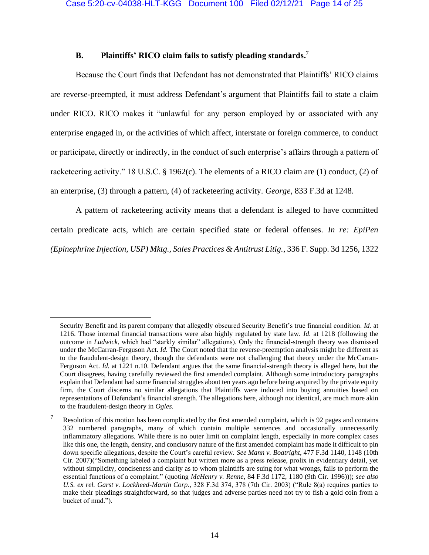# **B. Plaintiffs' RICO claim fails to satisfy pleading standards.** 7

Because the Court finds that Defendant has not demonstrated that Plaintiffs' RICO claims are reverse-preempted, it must address Defendant's argument that Plaintiffs fail to state a claim under RICO. RICO makes it "unlawful for any person employed by or associated with any enterprise engaged in, or the activities of which affect, interstate or foreign commerce, to conduct or participate, directly or indirectly, in the conduct of such enterprise's affairs through a pattern of racketeering activity." 18 U.S.C. § 1962(c). The elements of a RICO claim are (1) conduct, (2) of an enterprise, (3) through a pattern, (4) of racketeering activity. *George*, 833 F.3d at 1248.

A pattern of racketeering activity means that a defendant is alleged to have committed certain predicate acts, which are certain specified state or federal offenses. *In re: EpiPen (Epinephrine Injection, USP) Mktg., Sales Practices & Antitrust Litig.*, 336 F. Supp. 3d 1256, 1322

Security Benefit and its parent company that allegedly obscured Security Benefit's true financial condition. *Id.* at 1216. Those internal financial transactions were also highly regulated by state law. *Id.* at 1218 (following the outcome in *Ludwick*, which had "starkly similar" allegations). Only the financial-strength theory was dismissed under the McCarran-Ferguson Act. *Id.* The Court noted that the reverse-preemption analysis might be different as to the fraudulent-design theory, though the defendants were not challenging that theory under the McCarran-Ferguson Act. *Id.* at 1221 n.10. Defendant argues that the same financial-strength theory is alleged here, but the Court disagrees, having carefully reviewed the first amended complaint. Although some introductory paragraphs explain that Defendant had some financial struggles about ten years ago before being acquired by the private equity firm, the Court discerns no similar allegations that Plaintiffs were induced into buying annuities based on representations of Defendant's financial strength. The allegations here, although not identical, are much more akin to the fraudulent-design theory in *Ogles*.

 $7$  Resolution of this motion has been complicated by the first amended complaint, which is 92 pages and contains 332 numbered paragraphs, many of which contain multiple sentences and occasionally unnecessarily inflammatory allegations. While there is no outer limit on complaint length, especially in more complex cases like this one, the length, density, and conclusory nature of the first amended complaint has made it difficult to pin down specific allegations, despite the Court's careful review. *See Mann v. Boatright*, 477 F.3d 1140, 1148 (10th Cir. 2007)("Something labeled a complaint but written more as a press release, prolix in evidentiary detail, yet without simplicity, conciseness and clarity as to whom plaintiffs are suing for what wrongs, fails to perform the essential functions of a complaint." (quoting *McHenry v. Renne*, 84 F.3d 1172, 1180 (9th Cir. 1996))); *see also U.S. ex rel. Garst v. Lockheed-Martin Corp.*, 328 F.3d 374, 378 (7th Cir. 2003) ("Rule 8(a) requires parties to make their pleadings straightforward, so that judges and adverse parties need not try to fish a gold coin from a bucket of mud.").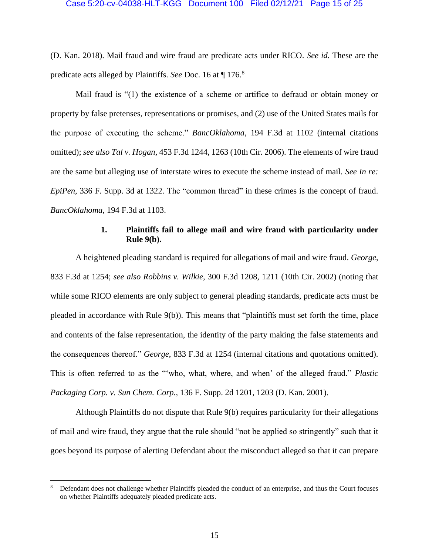(D. Kan. 2018). Mail fraud and wire fraud are predicate acts under RICO. *See id.* These are the predicate acts alleged by Plaintiffs. *See* Doc. 16 at ¶ 176. 8

Mail fraud is "(1) the existence of a scheme or artifice to defraud or obtain money or property by false pretenses, representations or promises, and (2) use of the United States mails for the purpose of executing the scheme." *BancOklahoma*, 194 F.3d at 1102 (internal citations omitted); *see also Tal v. Hogan*, 453 F.3d 1244, 1263 (10th Cir. 2006). The elements of wire fraud are the same but alleging use of interstate wires to execute the scheme instead of mail. *See In re: EpiPen*, 336 F. Supp. 3d at 1322. The "common thread" in these crimes is the concept of fraud. *BancOklahoma*, 194 F.3d at 1103.

# **1. Plaintiffs fail to allege mail and wire fraud with particularity under Rule 9(b).**

A heightened pleading standard is required for allegations of mail and wire fraud. *George*, 833 F.3d at 1254; *see also Robbins v. Wilkie*, 300 F.3d 1208, 1211 (10th Cir. 2002) (noting that while some RICO elements are only subject to general pleading standards, predicate acts must be pleaded in accordance with Rule 9(b)). This means that "plaintiffs must set forth the time, place and contents of the false representation, the identity of the party making the false statements and the consequences thereof." *George*, 833 F.3d at 1254 (internal citations and quotations omitted). This is often referred to as the "'who, what, where, and when' of the alleged fraud." *Plastic Packaging Corp. v. Sun Chem. Corp.*, 136 F. Supp. 2d 1201, 1203 (D. Kan. 2001).

Although Plaintiffs do not dispute that Rule 9(b) requires particularity for their allegations of mail and wire fraud, they argue that the rule should "not be applied so stringently" such that it goes beyond its purpose of alerting Defendant about the misconduct alleged so that it can prepare

<sup>8</sup> Defendant does not challenge whether Plaintiffs pleaded the conduct of an enterprise, and thus the Court focuses on whether Plaintiffs adequately pleaded predicate acts.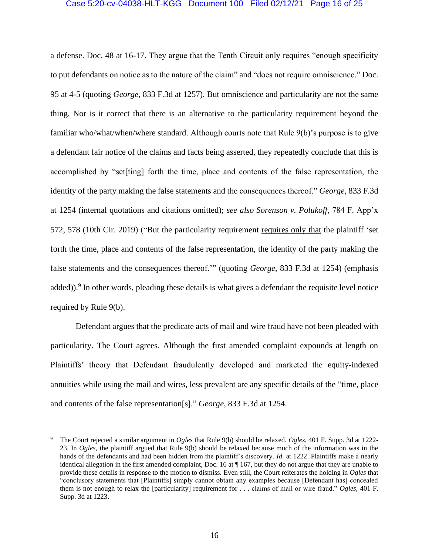### Case 5:20-cv-04038-HLT-KGG Document 100 Filed 02/12/21 Page 16 of 25

a defense. Doc. 48 at 16-17. They argue that the Tenth Circuit only requires "enough specificity to put defendants on notice as to the nature of the claim" and "does not require omniscience." Doc. 95 at 4-5 (quoting *George*, 833 F.3d at 1257). But omniscience and particularity are not the same thing. Nor is it correct that there is an alternative to the particularity requirement beyond the familiar who/what/when/where standard. Although courts note that Rule 9(b)'s purpose is to give a defendant fair notice of the claims and facts being asserted, they repeatedly conclude that this is accomplished by "set[ting] forth the time, place and contents of the false representation, the identity of the party making the false statements and the consequences thereof." *George*, 833 F.3d at 1254 (internal quotations and citations omitted); *see also Sorenson v. Polukoff*, 784 F. App'x 572, 578 (10th Cir. 2019) ("But the particularity requirement requires only that the plaintiff 'set forth the time, place and contents of the false representation, the identity of the party making the false statements and the consequences thereof.'" (quoting *George*, 833 F.3d at 1254) (emphasis added)).<sup>9</sup> In other words, pleading these details is what gives a defendant the requisite level notice required by Rule 9(b).

Defendant argues that the predicate acts of mail and wire fraud have not been pleaded with particularity. The Court agrees. Although the first amended complaint expounds at length on Plaintiffs' theory that Defendant fraudulently developed and marketed the equity-indexed annuities while using the mail and wires, less prevalent are any specific details of the "time, place and contents of the false representation[s]." *George*, 833 F.3d at 1254.

<sup>9</sup> The Court rejected a similar argument in *Ogles* that Rule 9(b) should be relaxed. *Ogles*, 401 F. Supp. 3d at 1222- 23. In *Ogles*, the plaintiff argued that Rule 9(b) should be relaxed because much of the information was in the hands of the defendants and had been hidden from the plaintiff's discovery. *Id.* at 1222. Plaintiffs make a nearly identical allegation in the first amended complaint, Doc. 16 at ¶ 167, but they do not argue that they are unable to provide these details in response to the motion to dismiss. Even still, the Court reiterates the holding in *Ogles* that "conclusory statements that [Plaintiffs] simply cannot obtain any examples because [Defendant has] concealed them is not enough to relax the [particularity] requirement for . . . claims of mail or wire fraud." *Ogles*, 401 F. Supp. 3d at 1223.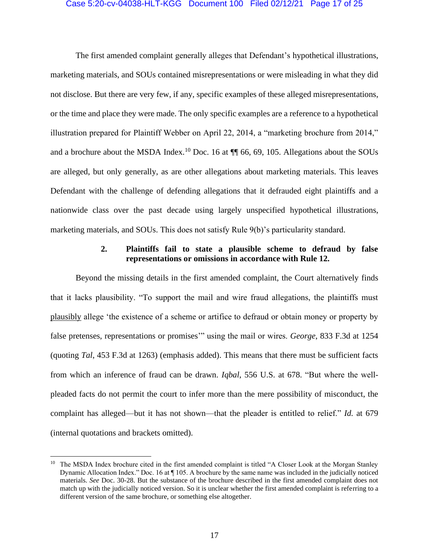### Case 5:20-cv-04038-HLT-KGG Document 100 Filed 02/12/21 Page 17 of 25

The first amended complaint generally alleges that Defendant's hypothetical illustrations, marketing materials, and SOUs contained misrepresentations or were misleading in what they did not disclose. But there are very few, if any, specific examples of these alleged misrepresentations, or the time and place they were made. The only specific examples are a reference to a hypothetical illustration prepared for Plaintiff Webber on April 22, 2014, a "marketing brochure from 2014," and a brochure about the MSDA Index.<sup>10</sup> Doc. 16 at  $\P$  66, 69, 105. Allegations about the SOUs are alleged, but only generally, as are other allegations about marketing materials. This leaves Defendant with the challenge of defending allegations that it defrauded eight plaintiffs and a nationwide class over the past decade using largely unspecified hypothetical illustrations, marketing materials, and SOUs. This does not satisfy Rule 9(b)'s particularity standard.

# **2. Plaintiffs fail to state a plausible scheme to defraud by false representations or omissions in accordance with Rule 12.**

Beyond the missing details in the first amended complaint, the Court alternatively finds that it lacks plausibility. "To support the mail and wire fraud allegations, the plaintiffs must plausibly allege 'the existence of a scheme or artifice to defraud or obtain money or property by false pretenses, representations or promises'" using the mail or wires. *George*, 833 F.3d at 1254 (quoting *Tal*, 453 F.3d at 1263) (emphasis added). This means that there must be sufficient facts from which an inference of fraud can be drawn. *Iqbal*, 556 U.S. at 678. "But where the wellpleaded facts do not permit the court to infer more than the mere possibility of misconduct, the complaint has alleged—but it has not shown—that the pleader is entitled to relief." *Id.* at 679 (internal quotations and brackets omitted).

<sup>&</sup>lt;sup>10</sup> The MSDA Index brochure cited in the first amended complaint is titled "A Closer Look at the Morgan Stanley Dynamic Allocation Index." Doc. 16 at ¶ 105. A brochure by the same name was included in the judicially noticed materials. *See* Doc. 30-28. But the substance of the brochure described in the first amended complaint does not match up with the judicially noticed version. So it is unclear whether the first amended complaint is referring to a different version of the same brochure, or something else altogether.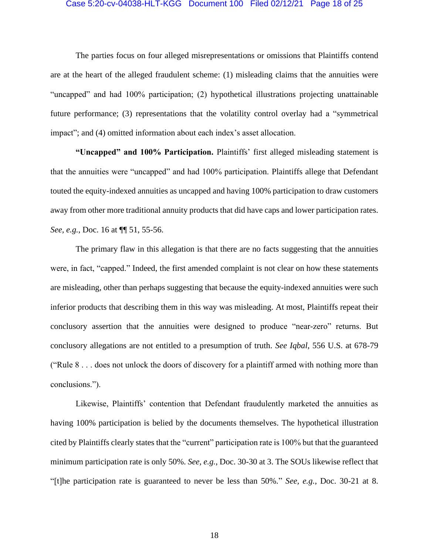#### Case 5:20-cv-04038-HLT-KGG Document 100 Filed 02/12/21 Page 18 of 25

The parties focus on four alleged misrepresentations or omissions that Plaintiffs contend are at the heart of the alleged fraudulent scheme: (1) misleading claims that the annuities were "uncapped" and had 100% participation; (2) hypothetical illustrations projecting unattainable future performance; (3) representations that the volatility control overlay had a "symmetrical impact"; and (4) omitted information about each index's asset allocation.

**"Uncapped" and 100% Participation.** Plaintiffs' first alleged misleading statement is that the annuities were "uncapped" and had 100% participation. Plaintiffs allege that Defendant touted the equity-indexed annuities as uncapped and having 100% participation to draw customers away from other more traditional annuity products that did have caps and lower participation rates. *See, e.g.*, Doc. 16 at ¶¶ 51, 55-56.

The primary flaw in this allegation is that there are no facts suggesting that the annuities were, in fact, "capped." Indeed, the first amended complaint is not clear on how these statements are misleading, other than perhaps suggesting that because the equity-indexed annuities were such inferior products that describing them in this way was misleading. At most, Plaintiffs repeat their conclusory assertion that the annuities were designed to produce "near-zero" returns. But conclusory allegations are not entitled to a presumption of truth. *See Iqbal*, 556 U.S. at 678-79 ("Rule 8 . . . does not unlock the doors of discovery for a plaintiff armed with nothing more than conclusions.").

Likewise, Plaintiffs' contention that Defendant fraudulently marketed the annuities as having 100% participation is belied by the documents themselves. The hypothetical illustration cited by Plaintiffs clearly states that the "current" participation rate is 100% but that the guaranteed minimum participation rate is only 50%. *See, e.g.*, Doc. 30-30 at 3. The SOUs likewise reflect that "[t]he participation rate is guaranteed to never be less than 50%." *See, e.g.*, Doc. 30-21 at 8.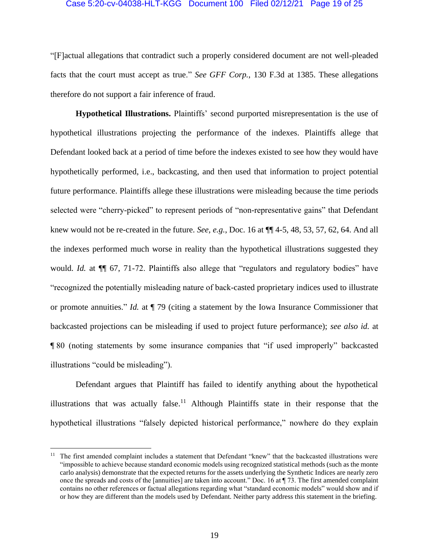### Case 5:20-cv-04038-HLT-KGG Document 100 Filed 02/12/21 Page 19 of 25

"[F]actual allegations that contradict such a properly considered document are not well-pleaded facts that the court must accept as true." *See GFF Corp.*, 130 F.3d at 1385. These allegations therefore do not support a fair inference of fraud.

**Hypothetical Illustrations.** Plaintiffs' second purported misrepresentation is the use of hypothetical illustrations projecting the performance of the indexes. Plaintiffs allege that Defendant looked back at a period of time before the indexes existed to see how they would have hypothetically performed, i.e., backcasting, and then used that information to project potential future performance. Plaintiffs allege these illustrations were misleading because the time periods selected were "cherry-picked" to represent periods of "non-representative gains" that Defendant knew would not be re-created in the future. *See, e.g.*, Doc. 16 at ¶¶ 4-5, 48, 53, 57, 62, 64. And all the indexes performed much worse in reality than the hypothetical illustrations suggested they would. *Id.* at  $\P$  67, 71-72. Plaintiffs also allege that "regulators and regulatory bodies" have "recognized the potentially misleading nature of back-casted proprietary indices used to illustrate or promote annuities." *Id.* at ¶ 79 (citing a statement by the Iowa Insurance Commissioner that backcasted projections can be misleading if used to project future performance); *see also id.* at ¶ 80 (noting statements by some insurance companies that "if used improperly" backcasted illustrations "could be misleading").

Defendant argues that Plaintiff has failed to identify anything about the hypothetical illustrations that was actually false.<sup>11</sup> Although Plaintiffs state in their response that the hypothetical illustrations "falsely depicted historical performance," nowhere do they explain

<sup>&</sup>lt;sup>11</sup> The first amended complaint includes a statement that Defendant "knew" that the backcasted illustrations were "impossible to achieve because standard economic models using recognized statistical methods (such as the monte carlo analysis) demonstrate that the expected returns for the assets underlying the Synthetic Indices are nearly zero once the spreads and costs of the [annuities] are taken into account." Doc. 16 at ¶ 73. The first amended complaint contains no other references or factual allegations regarding what "standard economic models" would show and if or how they are different than the models used by Defendant. Neither party address this statement in the briefing.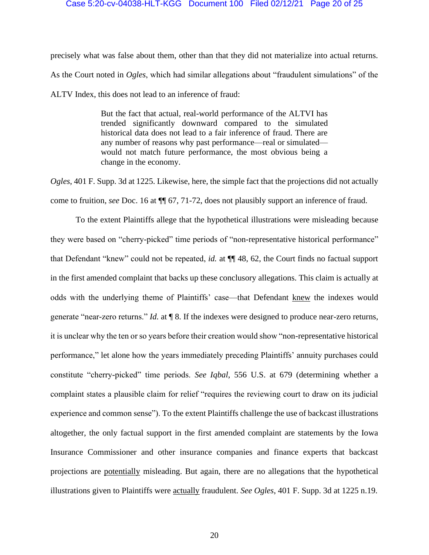### Case 5:20-cv-04038-HLT-KGG Document 100 Filed 02/12/21 Page 20 of 25

precisely what was false about them, other than that they did not materialize into actual returns. As the Court noted in *Ogles*, which had similar allegations about "fraudulent simulations" of the ALTV Index, this does not lead to an inference of fraud:

> But the fact that actual, real-world performance of the ALTVI has trended significantly downward compared to the simulated historical data does not lead to a fair inference of fraud. There are any number of reasons why past performance—real or simulated would not match future performance, the most obvious being a change in the economy.

*Ogles*, 401 F. Supp. 3d at 1225. Likewise, here, the simple fact that the projections did not actually come to fruition, *see* Doc. 16 at ¶¶ 67, 71-72, does not plausibly support an inference of fraud.

To the extent Plaintiffs allege that the hypothetical illustrations were misleading because they were based on "cherry-picked" time periods of "non-representative historical performance" that Defendant "knew" could not be repeated, *id.* at ¶¶ 48, 62, the Court finds no factual support in the first amended complaint that backs up these conclusory allegations. This claim is actually at odds with the underlying theme of Plaintiffs' case—that Defendant knew the indexes would generate "near-zero returns." *Id.* at ¶ 8. If the indexes were designed to produce near-zero returns, it is unclear why the ten or so years before their creation would show "non-representative historical performance," let alone how the years immediately preceding Plaintiffs' annuity purchases could constitute "cherry-picked" time periods. *See Iqbal*, 556 U.S. at 679 (determining whether a complaint states a plausible claim for relief "requires the reviewing court to draw on its judicial experience and common sense"). To the extent Plaintiffs challenge the use of backcast illustrations altogether, the only factual support in the first amended complaint are statements by the Iowa Insurance Commissioner and other insurance companies and finance experts that backcast projections are potentially misleading. But again, there are no allegations that the hypothetical illustrations given to Plaintiffs were actually fraudulent. *See Ogles*, 401 F. Supp. 3d at 1225 n.19.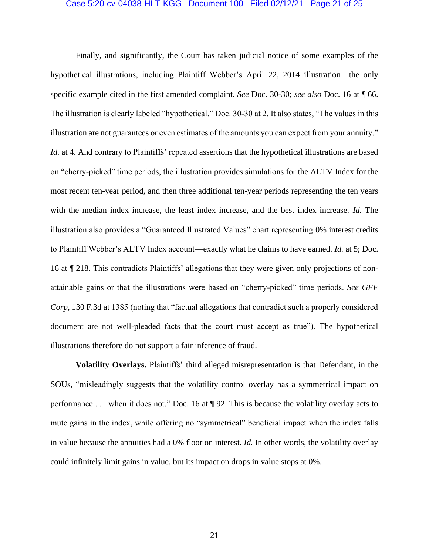#### Case 5:20-cv-04038-HLT-KGG Document 100 Filed 02/12/21 Page 21 of 25

Finally, and significantly, the Court has taken judicial notice of some examples of the hypothetical illustrations, including Plaintiff Webber's April 22, 2014 illustration—the only specific example cited in the first amended complaint. *See* Doc. 30-30; *see also* Doc. 16 at ¶ 66. The illustration is clearly labeled "hypothetical." Doc. 30-30 at 2. It also states, "The values in this illustration are not guarantees or even estimates of the amounts you can expect from your annuity." *Id.* at 4. And contrary to Plaintiffs' repeated assertions that the hypothetical illustrations are based on "cherry-picked" time periods, the illustration provides simulations for the ALTV Index for the most recent ten-year period, and then three additional ten-year periods representing the ten years with the median index increase, the least index increase, and the best index increase. *Id.* The illustration also provides a "Guaranteed Illustrated Values" chart representing 0% interest credits to Plaintiff Webber's ALTV Index account—exactly what he claims to have earned. *Id.* at 5; Doc. 16 at ¶ 218. This contradicts Plaintiffs' allegations that they were given only projections of nonattainable gains or that the illustrations were based on "cherry-picked" time periods. *See GFF Corp*, 130 F.3d at 1385 (noting that "factual allegations that contradict such a properly considered document are not well-pleaded facts that the court must accept as true"). The hypothetical illustrations therefore do not support a fair inference of fraud.

**Volatility Overlays.** Plaintiffs' third alleged misrepresentation is that Defendant, in the SOUs, "misleadingly suggests that the volatility control overlay has a symmetrical impact on performance . . . when it does not." Doc. 16 at ¶ 92. This is because the volatility overlay acts to mute gains in the index, while offering no "symmetrical" beneficial impact when the index falls in value because the annuities had a 0% floor on interest. *Id.* In other words, the volatility overlay could infinitely limit gains in value, but its impact on drops in value stops at 0%.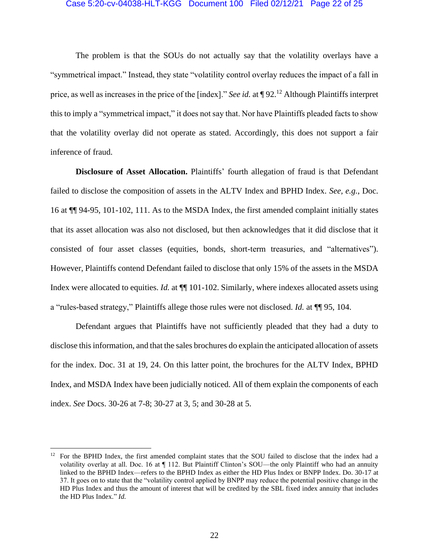#### Case 5:20-cv-04038-HLT-KGG Document 100 Filed 02/12/21 Page 22 of 25

The problem is that the SOUs do not actually say that the volatility overlays have a "symmetrical impact." Instead, they state "volatility control overlay reduces the impact of a fall in price, as well as increases in the price of the [index]." *See id.* at ¶ 92.<sup>12</sup> Although Plaintiffs interpret this to imply a "symmetrical impact," it does not say that. Nor have Plaintiffs pleaded facts to show that the volatility overlay did not operate as stated. Accordingly, this does not support a fair inference of fraud.

**Disclosure of Asset Allocation.** Plaintiffs' fourth allegation of fraud is that Defendant failed to disclose the composition of assets in the ALTV Index and BPHD Index. *See, e.g.*, Doc. 16 at ¶¶ 94-95, 101-102, 111. As to the MSDA Index, the first amended complaint initially states that its asset allocation was also not disclosed, but then acknowledges that it did disclose that it consisted of four asset classes (equities, bonds, short-term treasuries, and "alternatives"). However, Plaintiffs contend Defendant failed to disclose that only 15% of the assets in the MSDA Index were allocated to equities. *Id.* at ¶¶ 101-102. Similarly, where indexes allocated assets using a "rules-based strategy," Plaintiffs allege those rules were not disclosed. *Id.* at ¶¶ 95, 104.

Defendant argues that Plaintiffs have not sufficiently pleaded that they had a duty to disclose this information, and that the sales brochures do explain the anticipated allocation of assets for the index. Doc. 31 at 19, 24. On this latter point, the brochures for the ALTV Index, BPHD Index, and MSDA Index have been judicially noticed. All of them explain the components of each index. *See* Docs. 30-26 at 7-8; 30-27 at 3, 5; and 30-28 at 5.

<sup>&</sup>lt;sup>12</sup> For the BPHD Index, the first amended complaint states that the SOU failed to disclose that the index had a volatility overlay at all. Doc. 16 at  $\P$  112. But Plaintiff Clinton's SOU—the only Plaintiff who had an annuity linked to the BPHD Index—refers to the BPHD Index as either the HD Plus Index or BNPP Index. Do. 30-17 at 37. It goes on to state that the "volatility control applied by BNPP may reduce the potential positive change in the HD Plus Index and thus the amount of interest that will be credited by the SBL fixed index annuity that includes the HD Plus Index." *Id.*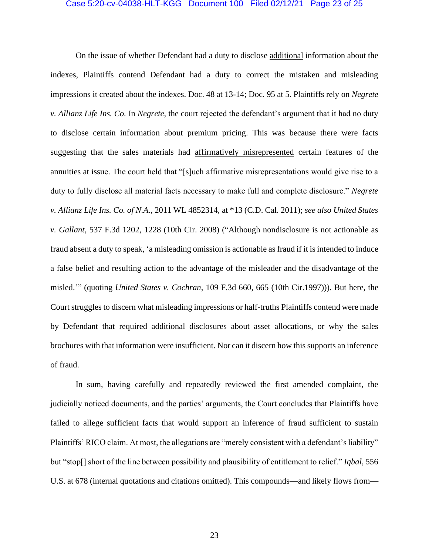# Case 5:20-cv-04038-HLT-KGG Document 100 Filed 02/12/21 Page 23 of 25

On the issue of whether Defendant had a duty to disclose additional information about the indexes, Plaintiffs contend Defendant had a duty to correct the mistaken and misleading impressions it created about the indexes. Doc. 48 at 13-14; Doc. 95 at 5. Plaintiffs rely on *Negrete v. Allianz Life Ins. Co.* In *Negrete*, the court rejected the defendant's argument that it had no duty to disclose certain information about premium pricing. This was because there were facts suggesting that the sales materials had affirmatively misrepresented certain features of the annuities at issue. The court held that "[s]uch affirmative misrepresentations would give rise to a duty to fully disclose all material facts necessary to make full and complete disclosure." *Negrete v. Allianz Life Ins. Co. of N.A.*, 2011 WL 4852314, at \*13 (C.D. Cal. 2011); *see also United States v. Gallant*, 537 F.3d 1202, 1228 (10th Cir. 2008) ("Although nondisclosure is not actionable as fraud absent a duty to speak, 'a misleading omission is actionable as fraud if it is intended to induce a false belief and resulting action to the advantage of the misleader and the disadvantage of the misled.'" (quoting *United States v. Cochran*, 109 F.3d 660, 665 (10th Cir.1997))). But here, the Court struggles to discern what misleading impressions or half-truths Plaintiffs contend were made by Defendant that required additional disclosures about asset allocations, or why the sales brochures with that information were insufficient. Nor can it discern how this supports an inference of fraud.

In sum, having carefully and repeatedly reviewed the first amended complaint, the judicially noticed documents, and the parties' arguments, the Court concludes that Plaintiffs have failed to allege sufficient facts that would support an inference of fraud sufficient to sustain Plaintiffs' RICO claim. At most, the allegations are "merely consistent with a defendant's liability" but "stop[] short of the line between possibility and plausibility of entitlement to relief." *Iqbal*, 556 U.S. at 678 (internal quotations and citations omitted). This compounds—and likely flows from—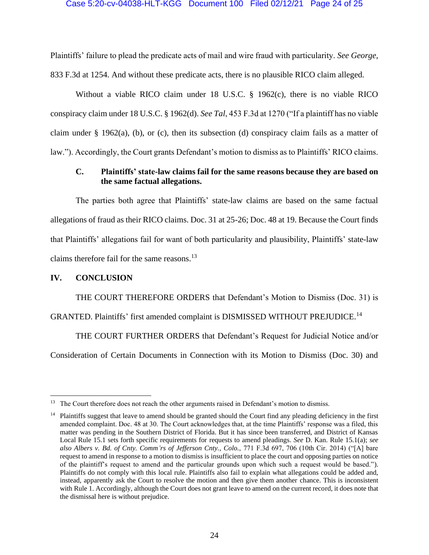### Case 5:20-cv-04038-HLT-KGG Document 100 Filed 02/12/21 Page 24 of 25

Plaintiffs' failure to plead the predicate acts of mail and wire fraud with particularity. *See George*, 833 F.3d at 1254. And without these predicate acts, there is no plausible RICO claim alleged.

Without a viable RICO claim under 18 U.S.C. § 1962(c), there is no viable RICO conspiracy claim under 18 U.S.C. § 1962(d). *See Tal*, 453 F.3d at 1270 ("If a plaintiff has no viable claim under § 1962(a), (b), or (c), then its subsection (d) conspiracy claim fails as a matter of law."). Accordingly, the Court grants Defendant's motion to dismiss as to Plaintiffs' RICO claims.

# **C. Plaintiffs' state-law claims fail for the same reasons because they are based on the same factual allegations.**

The parties both agree that Plaintiffs' state-law claims are based on the same factual allegations of fraud as their RICO claims. Doc. 31 at 25-26; Doc. 48 at 19. Because the Court finds that Plaintiffs' allegations fail for want of both particularity and plausibility, Plaintiffs' state-law claims therefore fail for the same reasons.<sup>13</sup>

# **IV. CONCLUSION**

THE COURT THEREFORE ORDERS that Defendant's Motion to Dismiss (Doc. 31) is

GRANTED. Plaintiffs' first amended complaint is DISMISSED WITHOUT PREJUDICE.<sup>14</sup>

THE COURT FURTHER ORDERS that Defendant's Request for Judicial Notice and/or Consideration of Certain Documents in Connection with its Motion to Dismiss (Doc. 30) and

<sup>&</sup>lt;sup>13</sup> The Court therefore does not reach the other arguments raised in Defendant's motion to dismiss.

 $14$  Plaintiffs suggest that leave to amend should be granted should the Court find any pleading deficiency in the first amended complaint. Doc. 48 at 30. The Court acknowledges that, at the time Plaintiffs' response was a filed, this matter was pending in the Southern District of Florida. But it has since been transferred, and District of Kansas Local Rule 15.1 sets forth specific requirements for requests to amend pleadings. *See* D. Kan. Rule 15.1(a); *see also Albers v. Bd. of Cnty. Comm'rs of Jefferson Cnty., Colo.*, 771 F.3d 697, 706 (10th Cir. 2014) ("[A] bare request to amend in response to a motion to dismiss is insufficient to place the court and opposing parties on notice of the plaintiff's request to amend and the particular grounds upon which such a request would be based."). Plaintiffs do not comply with this local rule. Plaintiffs also fail to explain what allegations could be added and, instead, apparently ask the Court to resolve the motion and then give them another chance. This is inconsistent with Rule 1. Accordingly, although the Court does not grant leave to amend on the current record, it does note that the dismissal here is without prejudice.